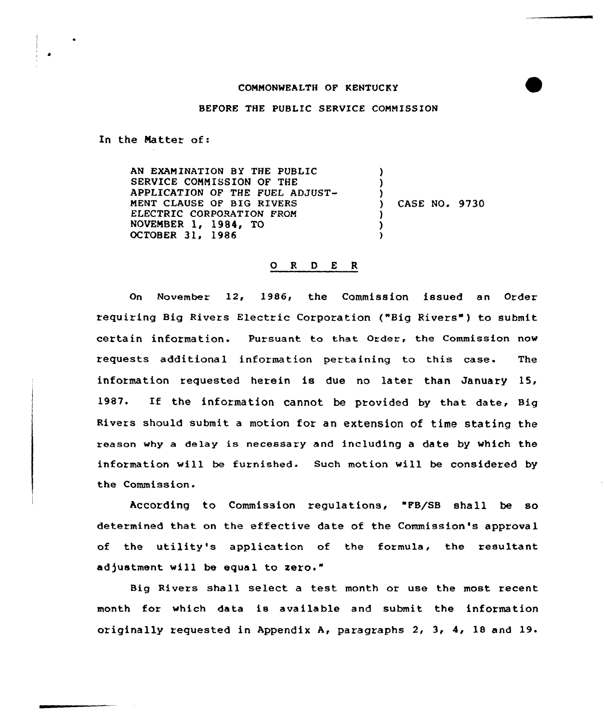## COMMONWEALTH OF KENTUCKY



## BEFORE THE PUBLIC SERVICE COMMISSION

In the Matter of:

AN EXAMINATION BY THE PUBLIC SERVICE COMMISSION OF THE APPLICATION OF THE FUEL ADJUST-MENT CLAUSE OF BIG RIVERS ELECTRIC CORPORATION FROM NOVEMBER 1, 1984, TO OCTOBER 31> 1986 ) ) )<br>) ) CASE NO. 9730 ) ) )

## 0 <sup>R</sup> 0 <sup>E</sup> <sup>R</sup>

On November 12, 1986, the Commission issued an Order requiring Big Rivers Electric Corporation ("Big Rivers" ) to submit certa in information. pursuant to that order, the commission now requests additional information pertaining to this case. The information requested herein is due no later than January 15< 1987. If the information cannot be provided by that date, Big Rivers should submit a motion for an extension of time stating the reason why a delay ie necessary and including a date by which the information will be furnished. Such motion will be considered by the Commission.

According to Commission regulations, FB/SB shall be so determined that on the effective date of the Commission's approval of the utility's application of the formula, the resultant adjustment will be equal to zero."

Big Rivers shall select a test month or use the most recent month for which data is available and submit the information originally requested in Appendix A, paragraphs 2, 3, 4, 18 and 19.